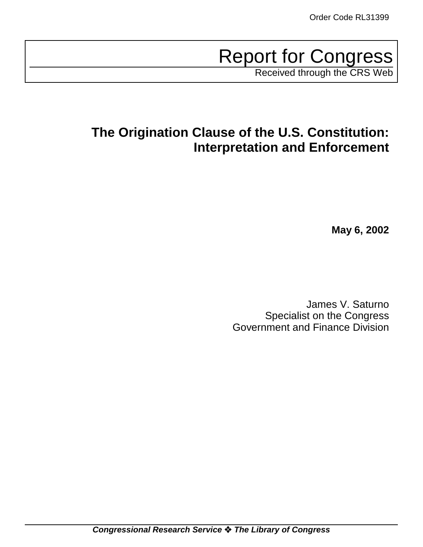# Report for Congress

Received through the CRS Web

# **The Origination Clause of the U.S. Constitution: Interpretation and Enforcement**

**May 6, 2002**

James V. Saturno Specialist on the Congress Government and Finance Division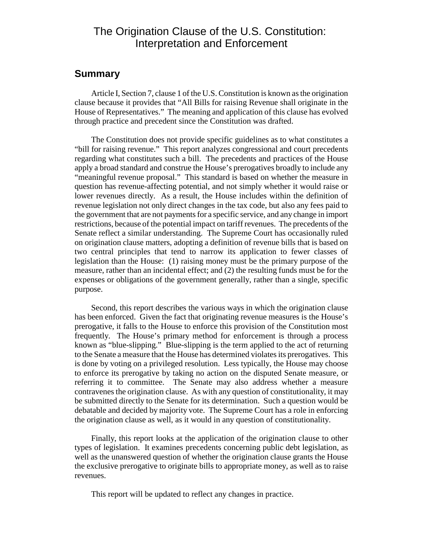# The Origination Clause of the U.S. Constitution: Interpretation and Enforcement

## **Summary**

Article I, Section 7, clause 1 of the U.S. Constitution is known as the origination clause because it provides that "All Bills for raising Revenue shall originate in the House of Representatives." The meaning and application of this clause has evolved through practice and precedent since the Constitution was drafted.

The Constitution does not provide specific guidelines as to what constitutes a "bill for raising revenue." This report analyzes congressional and court precedents regarding what constitutes such a bill. The precedents and practices of the House apply a broad standard and construe the House's prerogatives broadly to include any "meaningful revenue proposal." This standard is based on whether the measure in question has revenue-affecting potential, and not simply whether it would raise or lower revenues directly. As a result, the House includes within the definition of revenue legislation not only direct changes in the tax code, but also any fees paid to the government that are not payments for a specific service, and any change in import restrictions, because of the potential impact on tariff revenues. The precedents of the Senate reflect a similar understanding. The Supreme Court has occasionally ruled on origination clause matters, adopting a definition of revenue bills that is based on two central principles that tend to narrow its application to fewer classes of legislation than the House: (1) raising money must be the primary purpose of the measure, rather than an incidental effect; and (2) the resulting funds must be for the expenses or obligations of the government generally, rather than a single, specific purpose.

Second, this report describes the various ways in which the origination clause has been enforced. Given the fact that originating revenue measures is the House's prerogative, it falls to the House to enforce this provision of the Constitution most frequently. The House's primary method for enforcement is through a process known as "blue-slipping." Blue-slipping is the term applied to the act of returning to the Senate a measure that the House has determined violates its prerogatives. This is done by voting on a privileged resolution. Less typically, the House may choose to enforce its prerogative by taking no action on the disputed Senate measure, or referring it to committee. The Senate may also address whether a measure contravenes the origination clause. As with any question of constitutionality, it may be submitted directly to the Senate for its determination. Such a question would be debatable and decided by majority vote. The Supreme Court has a role in enforcing the origination clause as well, as it would in any question of constitutionality.

Finally, this report looks at the application of the origination clause to other types of legislation. It examines precedents concerning public debt legislation, as well as the unanswered question of whether the origination clause grants the House the exclusive prerogative to originate bills to appropriate money, as well as to raise revenues.

This report will be updated to reflect any changes in practice.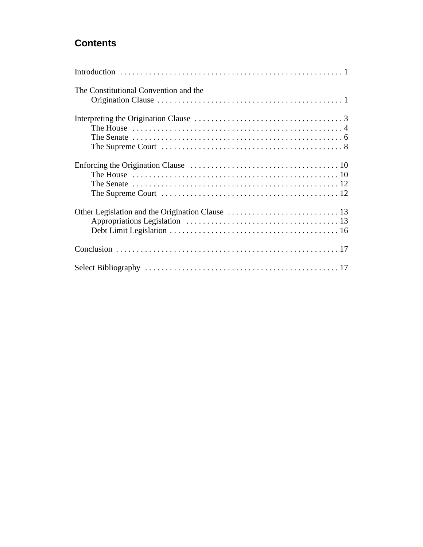# **Contents**

| The Constitutional Convention and the                                                                                   |
|-------------------------------------------------------------------------------------------------------------------------|
| The House $\dots \dots \dots \dots \dots \dots \dots \dots \dots \dots \dots \dots \dots \dots \dots \dots \dots \dots$ |
|                                                                                                                         |
|                                                                                                                         |
|                                                                                                                         |
|                                                                                                                         |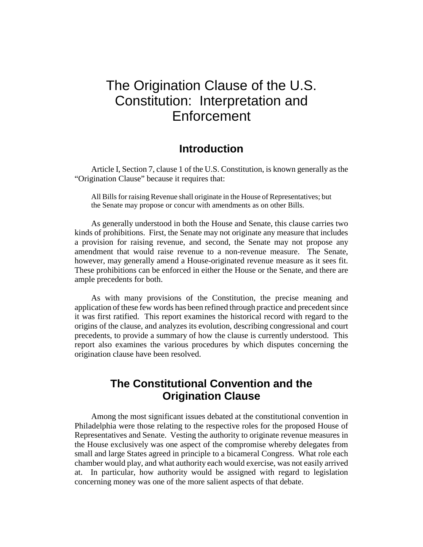# The Origination Clause of the U.S. Constitution: Interpretation and **Enforcement**

# **Introduction**

Article I, Section 7, clause 1 of the U.S. Constitution, is known generally as the "Origination Clause" because it requires that:

All Bills for raising Revenue shall originate in the House of Representatives; but the Senate may propose or concur with amendments as on other Bills.

As generally understood in both the House and Senate, this clause carries two kinds of prohibitions. First, the Senate may not originate any measure that includes a provision for raising revenue, and second, the Senate may not propose any amendment that would raise revenue to a non-revenue measure. The Senate, however, may generally amend a House-originated revenue measure as it sees fit. These prohibitions can be enforced in either the House or the Senate, and there are ample precedents for both.

As with many provisions of the Constitution, the precise meaning and application of these few words has been refined through practice and precedent since it was first ratified. This report examines the historical record with regard to the origins of the clause, and analyzes its evolution, describing congressional and court precedents, to provide a summary of how the clause is currently understood. This report also examines the various procedures by which disputes concerning the origination clause have been resolved.

# **The Constitutional Convention and the Origination Clause**

Among the most significant issues debated at the constitutional convention in Philadelphia were those relating to the respective roles for the proposed House of Representatives and Senate. Vesting the authority to originate revenue measures in the House exclusively was one aspect of the compromise whereby delegates from small and large States agreed in principle to a bicameral Congress. What role each chamber would play, and what authority each would exercise, was not easily arrived at. In particular, how authority would be assigned with regard to legislation concerning money was one of the more salient aspects of that debate.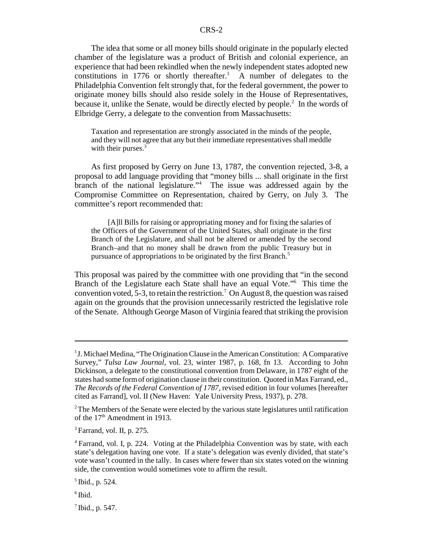The idea that some or all money bills should originate in the popularly elected chamber of the legislature was a product of British and colonial experience, an experience that had been rekindled when the newly independent states adopted new constitutions in 1776 or shortly thereafter.<sup>1</sup> A number of delegates to the Philadelphia Convention felt strongly that, for the federal government, the power to originate money bills should also reside solely in the House of Representatives, because it, unlike the Senate, would be directly elected by people. $2$  In the words of Elbridge Gerry, a delegate to the convention from Massachusetts:

Taxation and representation are strongly associated in the minds of the people, and they will not agree that any but their immediate representatives shall meddle with their purses.<sup>3</sup>

As first proposed by Gerry on June 13, 1787, the convention rejected, 3-8, a proposal to add language providing that "money bills ... shall originate in the first branch of the national legislature."<sup>4</sup> The issue was addressed again by the Compromise Committee on Representation, chaired by Gerry, on July 3. The committee's report recommended that:

[A]ll Bills for raising or appropriating money and for fixing the salaries of the Officers of the Government of the United States, shall originate in the first Branch of the Legislature, and shall not be altered or amended by the second Branch–and that no money shall be drawn from the public Treasury but in pursuance of appropriations to be originated by the first Branch.<sup>5</sup>

This proposal was paired by the committee with one providing that "in the second Branch of the Legislature each State shall have an equal Vote."6 This time the convention voted, 5-3, to retain the restriction.<sup>7</sup> On August 8, the question was raised again on the grounds that the provision unnecessarily restricted the legislative role of the Senate. Although George Mason of Virginia feared that striking the provision

<sup>&</sup>lt;sup>1</sup> J. Michael Medina, "The Origination Clause in the American Constitution: A Comparative Survey," *Tulsa Law Journal*, vol. 23, winter 1987, p. 168, fn 13. According to John Dickinson, a delegate to the constitutional convention from Delaware, in 1787 eight of the states had some form of origination clause in their constitution. Quoted in Max Farrand, ed., *The Records of the Federal Convention of 1787*, revised edition in four volumes [hereafter cited as Farrand], vol. II (New Haven: Yale University Press, 1937), p. 278.

 $2$ The Members of the Senate were elected by the various state legislatures until ratification of the 17<sup>th</sup> Amendment in 1913.

 $3$  Farrand, vol. II, p. 275.

<sup>4</sup> Farrand, vol. I, p. 224. Voting at the Philadelphia Convention was by state, with each state's delegation having one vote. If a state's delegation was evenly divided, that state's vote wasn't counted in the tally. In cases where fewer than six states voted on the winning side, the convention would sometimes vote to affirm the result.

 $<sup>5</sup>$  Ibid., p. 524.</sup>

 $6$  Ibid.

 $<sup>7</sup>$  Ibid., p. 547.</sup>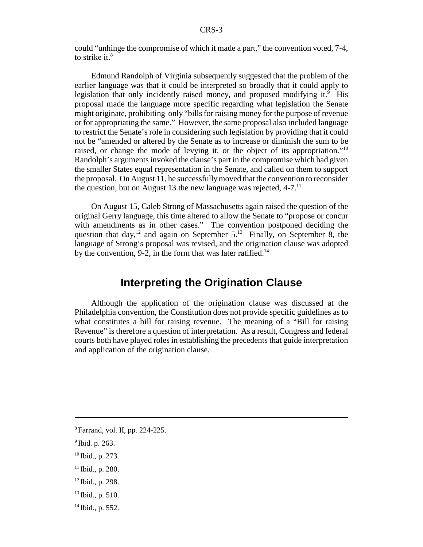could "unhinge the compromise of which it made a part," the convention voted, 7-4, to strike it. $8$ 

Edmund Randolph of Virginia subsequently suggested that the problem of the earlier language was that it could be interpreted so broadly that it could apply to legislation that only incidently raised money, and proposed modifying it.<sup>9</sup> His proposal made the language more specific regarding what legislation the Senate might originate, prohibiting only "bills for raising money for the purpose of revenue or for appropriating the same." However, the same proposal also included language to restrict the Senate's role in considering such legislation by providing that it could not be "amended or altered by the Senate as to increase or diminish the sum to be raised, or change the mode of levying it, or the object of its appropriation."<sup>10</sup> Randolph's arguments invoked the clause's part in the compromise which had given the smaller States equal representation in the Senate, and called on them to support the proposal. On August 11, he successfully moved that the convention to reconsider the question, but on August 13 the new language was rejected,  $4-7$ .<sup>11</sup>

On August 15, Caleb Strong of Massachusetts again raised the question of the original Gerry language, this time altered to allow the Senate to "propose or concur with amendments as in other cases." The convention postponed deciding the question that day,<sup>12</sup> and again on September  $5^{13}$  Finally, on September 8, the language of Strong's proposal was revised, and the origination clause was adopted by the convention, 9-2, in the form that was later ratified.<sup>14</sup>

# **Interpreting the Origination Clause**

Although the application of the origination clause was discussed at the Philadelphia convention, the Constitution does not provide specific guidelines as to what constitutes a bill for raising revenue. The meaning of a "Bill for raising Revenue" is therefore a question of interpretation. As a result, Congress and federal courts both have played roles in establishing the precedents that guide interpretation and application of the origination clause.

- <sup>12</sup> Ibid., p. 298.
- $13$  Ibid., p. 510.
- $14$  Ibid., p. 552.

<sup>8</sup> Farrand, vol. II, pp. 224-225.

 $<sup>9</sup>$  Ibid. p. 263.</sup>

 $10$  Ibid., p. 273.

 $11$  Ibid., p. 280.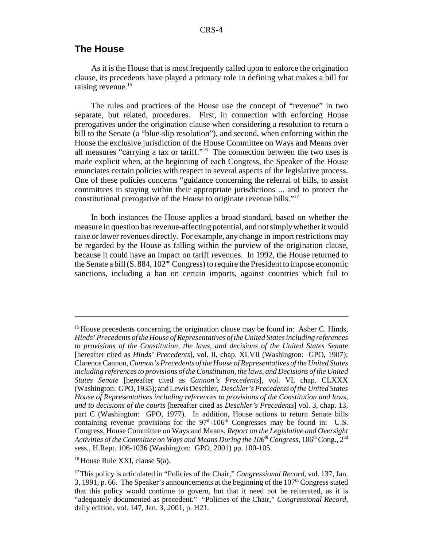#### **The House**

As it is the House that is most frequently called upon to enforce the origination clause, its precedents have played a primary role in defining what makes a bill for raising revenue.<sup>15</sup>

The rules and practices of the House use the concept of "revenue" in two separate, but related, procedures. First, in connection with enforcing House prerogatives under the origination clause when considering a resolution to return a bill to the Senate (a "blue-slip resolution"), and second, when enforcing within the House the exclusive jurisdiction of the House Committee on Ways and Means over all measures "carrying a tax or tariff."16 The connection between the two uses is made explicit when, at the beginning of each Congress, the Speaker of the House enunciates certain policies with respect to several aspects of the legislative process. One of these policies concerns "guidance concerning the referral of bills, to assist committees in staying within their appropriate jurisdictions ... and to protect the constitutional prerogative of the House to originate revenue bills."17

In both instances the House applies a broad standard, based on whether the measure in question has revenue-affecting potential, and not simply whether it would raise or lower revenues directly. For example, any change in import restrictions may be regarded by the House as falling within the purview of the origination clause, because it could have an impact on tariff revenues. In 1992, the House returned to the Senate a bill  $(S. 884, 102<sup>nd</sup> Congress)$  to require the President to impose economic sanctions, including a ban on certain imports, against countries which fail to

 $<sup>15</sup>$  House precedents concerning the origination clause may be found in: Asher C. Hinds,</sup> *Hinds' Precedents of the House of Representatives of the United States including references to provisions of the Constitution, the laws, and decisions of the United States Senate* [hereafter cited as *Hinds' Precedents*], vol. II, chap. XLVII (Washington: GPO, 1907); Clarence Cannon, *Cannon's Precedents of the House of Representatives of the United States including references to provisions of the Constitution, the laws, and Decisions of the United States Senate* [hereafter cited as *Cannon's Precedents*], vol. VI, chap. CLXXX (Washington: GPO, 1935); and Lewis Deschler, *Deschler's Precedents of the United States House of Representatives including references to provisions of the Constitution and laws, and to decisions of the courts* [hereafter cited as *Deschler's Precedents*] vol. 3, chap. 13, part C (Washington: GPO, 1977). In addition, House actions to return Senate bills containing revenue provisions for the  $97<sup>th</sup>$ -106<sup>th</sup> Congresses may be found in: U.S. Congress, House Committee on Ways and Means, *Report on the Legislative and Oversight Activities of the Committee on Ways and Means During the 106<sup>th</sup> Congress, 106<sup>th</sup> Cong., 2<sup>nd</sup>* sess., H.Rept. 106-1036 (Washington: GPO, 2001) pp. 100-105.

<sup>&</sup>lt;sup>16</sup> House Rule XXI, clause  $5(a)$ .

<sup>&</sup>lt;sup>17</sup> This policy is articulated in "Policies of the Chair," *Congressional Record*, vol. 137, Jan. 3, 1991, p. 66. The Speaker's announcements at the beginning of the  $107<sup>th</sup>$  Congress stated that this policy would continue to govern, but that it need not be reiterated, as it is "adequately documented as precedent." "Policies of the Chair," *Congressional Record*, daily edition, vol. 147, Jan. 3, 2001, p. H21.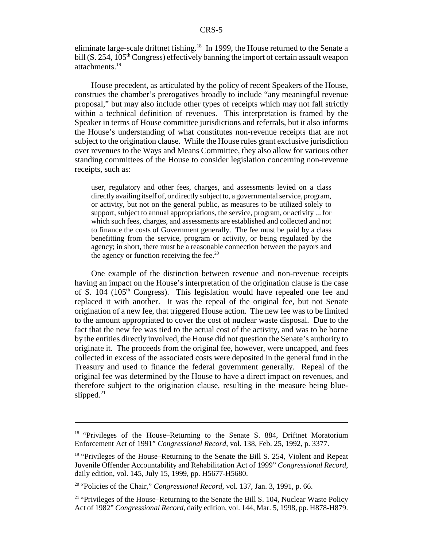eliminate large-scale driftnet fishing.<sup>18</sup> In 1999, the House returned to the Senate a bill  $(S. 254, 105<sup>th</sup> Congress)$  effectively banning the import of certain assault weapon attachments.<sup>19</sup>

House precedent, as articulated by the policy of recent Speakers of the House, construes the chamber's prerogatives broadly to include "any meaningful revenue proposal," but may also include other types of receipts which may not fall strictly within a technical definition of revenues. This interpretation is framed by the Speaker in terms of House committee jurisdictions and referrals, but it also informs the House's understanding of what constitutes non-revenue receipts that are not subject to the origination clause. While the House rules grant exclusive jurisdiction over revenues to the Ways and Means Committee, they also allow for various other standing committees of the House to consider legislation concerning non-revenue receipts, such as:

user, regulatory and other fees, charges, and assessments levied on a class directly availing itself of, or directly subject to, a governmental service, program, or activity, but not on the general public, as measures to be utilized solely to support, subject to annual appropriations, the service, program, or activity ... for which such fees, charges, and assessments are established and collected and not to finance the costs of Government generally. The fee must be paid by a class benefitting from the service, program or activity, or being regulated by the agency; in short, there must be a reasonable connection between the payors and the agency or function receiving the fee.<sup>20</sup>

One example of the distinction between revenue and non-revenue receipts having an impact on the House's interpretation of the origination clause is the case of S.  $104$  ( $105<sup>th</sup>$  Congress). This legislation would have repealed one fee and replaced it with another. It was the repeal of the original fee, but not Senate origination of a new fee, that triggered House action. The new fee was to be limited to the amount appropriated to cover the cost of nuclear waste disposal. Due to the fact that the new fee was tied to the actual cost of the activity, and was to be borne by the entities directly involved, the House did not question the Senate's authority to originate it. The proceeds from the original fee, however, were uncapped, and fees collected in excess of the associated costs were deposited in the general fund in the Treasury and used to finance the federal government generally. Repeal of the original fee was determined by the House to have a direct impact on revenues, and therefore subject to the origination clause, resulting in the measure being blueslipped. $21$ 

<sup>&</sup>lt;sup>18</sup> "Privileges of the House–Returning to the Senate S. 884, Driftnet Moratorium Enforcement Act of 1991" *Congressional Record*, vol. 138, Feb. 25, 1992, p. 3377.

<sup>&</sup>lt;sup>19</sup> "Privileges of the House–Returning to the Senate the Bill S. 254, Violent and Repeat Juvenile Offender Accountability and Rehabilitation Act of 1999" *Congressional Record*, daily edition, vol. 145, July 15, 1999, pp. H5677-H5680.

<sup>20 &</sup>quot;Policies of the Chair," *Congressional Record*, vol. 137, Jan. 3, 1991, p. 66.

 $21$  "Privileges of the House–Returning to the Senate the Bill S. 104, Nuclear Waste Policy Act of 1982" *Congressional Record*, daily edition, vol. 144, Mar. 5, 1998, pp. H878-H879.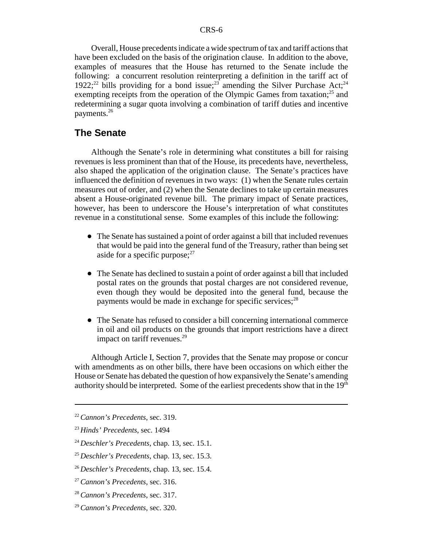Overall, House precedents indicate a wide spectrum of tax and tariff actions that have been excluded on the basis of the origination clause. In addition to the above, examples of measures that the House has returned to the Senate include the following: a concurrent resolution reinterpreting a definition in the tariff act of 1922;<sup>22</sup> bills providing for a bond issue;<sup>23</sup> amending the Silver Purchase Act;<sup>24</sup> exempting receipts from the operation of the Olympic Games from taxation; $^{25}$  and redetermining a sugar quota involving a combination of tariff duties and incentive payments.<sup>26</sup>

#### **The Senate**

Although the Senate's role in determining what constitutes a bill for raising revenues is less prominent than that of the House, its precedents have, nevertheless, also shaped the application of the origination clause. The Senate's practices have influenced the definition of revenues in two ways: (1) when the Senate rules certain measures out of order, and (2) when the Senate declines to take up certain measures absent a House-originated revenue bill. The primary impact of Senate practices, however, has been to underscore the House's interpretation of what constitutes revenue in a constitutional sense. Some examples of this include the following:

- ! The Senate has sustained a point of order against a bill that included revenues that would be paid into the general fund of the Treasury, rather than being set aside for a specific purpose; $27$
- The Senate has declined to sustain a point of order against a bill that included postal rates on the grounds that postal charges are not considered revenue, even though they would be deposited into the general fund, because the payments would be made in exchange for specific services; $^{28}$
- The Senate has refused to consider a bill concerning international commerce in oil and oil products on the grounds that import restrictions have a direct impact on tariff revenues.<sup>29</sup>

Although Article I, Section 7, provides that the Senate may propose or concur with amendments as on other bills, there have been occasions on which either the House or Senate has debated the question of how expansively the Senate's amending authority should be interpreted. Some of the earliest precedents show that in the  $19<sup>th</sup>$ 

<sup>22</sup>*Cannon's Precedents*, sec. 319.

<sup>23</sup>*Hinds' Precedents*, sec. 1494

<sup>24</sup>*Deschler's Precedents*, chap. 13, sec. 15.1.

<sup>25</sup>*Deschler's Precedents*, chap. 13, sec. 15.3.

<sup>26</sup>*Deschler's Precedents*, chap. 13, sec. 15.4.

<sup>27</sup>*Cannon's Precedents*, sec. 316.

<sup>28</sup>*Cannon's Precedents*, sec. 317.

<sup>29</sup>*Cannon's Precedents*, sec. 320.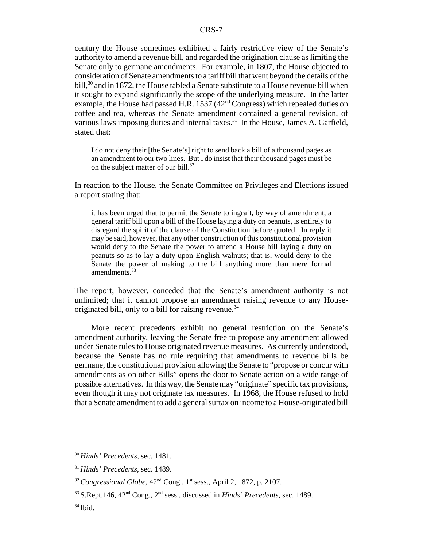century the House sometimes exhibited a fairly restrictive view of the Senate's authority to amend a revenue bill, and regarded the origination clause as limiting the Senate only to germane amendments. For example, in 1807, the House objected to consideration of Senate amendments to a tariff bill that went beyond the details of the bill,<sup>30</sup> and in 1872, the House tabled a Senate substitute to a House revenue bill when it sought to expand significantly the scope of the underlying measure. In the latter example, the House had passed H.R.  $1537 (42<sup>nd</sup> Congress)$  which repealed duties on coffee and tea, whereas the Senate amendment contained a general revision, of various laws imposing duties and internal taxes.<sup>31</sup> In the House, James A. Garfield, stated that:

I do not deny their [the Senate's] right to send back a bill of a thousand pages as an amendment to our two lines. But I do insist that their thousand pages must be on the subject matter of our bill. $32$ 

In reaction to the House, the Senate Committee on Privileges and Elections issued a report stating that:

it has been urged that to permit the Senate to ingraft, by way of amendment, a general tariff bill upon a bill of the House laying a duty on peanuts, is entirely to disregard the spirit of the clause of the Constitution before quoted. In reply it may be said, however, that any other construction of this constitutional provision would deny to the Senate the power to amend a House bill laying a duty on peanuts so as to lay a duty upon English walnuts; that is, would deny to the Senate the power of making to the bill anything more than mere formal amendments.<sup>33</sup>

The report, however, conceded that the Senate's amendment authority is not unlimited; that it cannot propose an amendment raising revenue to any Houseoriginated bill, only to a bill for raising revenue.<sup>34</sup>

More recent precedents exhibit no general restriction on the Senate's amendment authority, leaving the Senate free to propose any amendment allowed under Senate rules to House originated revenue measures. As currently understood, because the Senate has no rule requiring that amendments to revenue bills be germane, the constitutional provision allowing the Senate to "propose or concur with amendments as on other Bills" opens the door to Senate action on a wide range of possible alternatives. In this way, the Senate may "originate" specific tax provisions, even though it may not originate tax measures. In 1968, the House refused to hold that a Senate amendment to add a general surtax on income to a House-originated bill

<sup>30</sup>*Hinds' Precedents*, sec. 1481.

<sup>31</sup>*Hinds' Precedents*, sec. 1489.

 $32$  Congressional Globe,  $42<sup>nd</sup>$  Cong., 1<sup>st</sup> sess., April 2, 1872, p. 2107.

 $33$  S.Rept.146,  $42<sup>nd</sup>$  Cong.,  $2<sup>nd</sup>$  sess., discussed in *Hinds' Precedents*, sec. 1489.

 $34$  Ibid.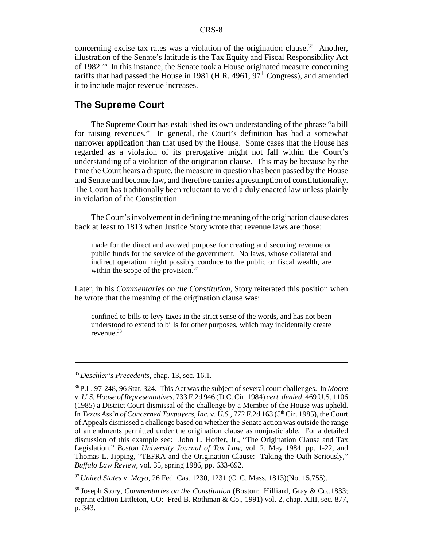concerning excise tax rates was a violation of the origination clause.<sup>35</sup> Another, illustration of the Senate's latitude is the Tax Equity and Fiscal Responsibility Act of 1982.<sup>36</sup> In this instance, the Senate took a House originated measure concerning tariffs that had passed the House in 1981 (H.R. 4961,  $97<sup>th</sup>$  Congress), and amended it to include major revenue increases.

#### **The Supreme Court**

The Supreme Court has established its own understanding of the phrase "a bill for raising revenues." In general, the Court's definition has had a somewhat narrower application than that used by the House. Some cases that the House has regarded as a violation of its prerogative might not fall within the Court's understanding of a violation of the origination clause. This may be because by the time the Court hears a dispute, the measure in question has been passed by the House and Senate and become law, and therefore carries a presumption of constitutionality. The Court has traditionally been reluctant to void a duly enacted law unless plainly in violation of the Constitution.

The Court's involvement in defining the meaning of the origination clause dates back at least to 1813 when Justice Story wrote that revenue laws are those:

made for the direct and avowed purpose for creating and securing revenue or public funds for the service of the government. No laws, whose collateral and indirect operation might possibly conduce to the public or fiscal wealth, are within the scope of the provision.<sup>37</sup>

Later, in his *Commentaries on the Constitution*, Story reiterated this position when he wrote that the meaning of the origination clause was:

confined to bills to levy taxes in the strict sense of the words, and has not been understood to extend to bills for other purposes, which may incidentally create revenue.38

<sup>35</sup>*Deschler's Precedents*, chap. 13, sec. 16.1.

<sup>36</sup> P.L. 97-248, 96 Stat. 324. This Act was the subject of several court challenges. In *Moore* v. *U.S. House of Representatives*, 733 F.2d 946 (D.C. Cir. 1984) *cert. denied*, 469 U.S. 1106 (1985) a District Court dismissal of the challenge by a Member of the House was upheld. In *Texas Ass'n of Concerned Taxpayers, Inc.* v. *U.S.*, 772 F.2d 163 (5th Cir. 1985), the Court of Appeals dismissed a challenge based on whether the Senate action was outside the range of amendments permitted under the origination clause as nonjusticiable. For a detailed discussion of this example see: John L. Hoffer, Jr., "The Origination Clause and Tax Legislation," *Boston University Journal of Tax Law*, vol. 2, May 1984, pp. 1-22, and Thomas L. Jipping, "TEFRA and the Origination Clause: Taking the Oath Seriously," *Buffalo Law Review*, vol. 35, spring 1986, pp. 633-692.

<sup>37</sup>*United States* v. *Mayo*, 26 Fed. Cas. 1230, 1231 (C. C. Mass. 1813)(No. 15,755).

<sup>38</sup> Joseph Story, *Commentaries on the Constitution* (Boston: Hilliard, Gray & Co.,1833; reprint edition Littleton, CO: Fred B. Rothman & Co., 1991) vol. 2, chap. XIII, sec. 877, p. 343.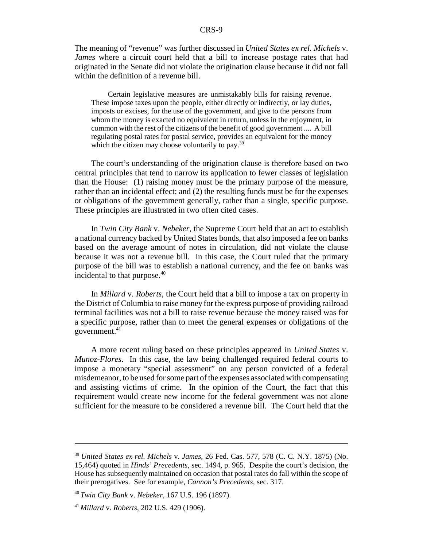The meaning of "revenue" was further discussed in *United States ex rel. Michels* v. *James* where a circuit court held that a bill to increase postage rates that had originated in the Senate did not violate the origination clause because it did not fall within the definition of a revenue bill.

Certain legislative measures are unmistakably bills for raising revenue. These impose taxes upon the people, either directly or indirectly, or lay duties, imposts or excises, for the use of the government, and give to the persons from whom the money is exacted no equivalent in return, unless in the enjoyment, in common with the rest of the citizens of the benefit of good government .... A bill regulating postal rates for postal service, provides an equivalent for the money which the citizen may choose voluntarily to pay.<sup>39</sup>

The court's understanding of the origination clause is therefore based on two central principles that tend to narrow its application to fewer classes of legislation than the House: (1) raising money must be the primary purpose of the measure, rather than an incidental effect; and (2) the resulting funds must be for the expenses or obligations of the government generally, rather than a single, specific purpose. These principles are illustrated in two often cited cases.

In *Twin City Bank* v. *Nebeker*, the Supreme Court held that an act to establish a national currency backed by United States bonds, that also imposed a fee on banks based on the average amount of notes in circulation, did not violate the clause because it was not a revenue bill. In this case, the Court ruled that the primary purpose of the bill was to establish a national currency, and the fee on banks was incidental to that purpose.<sup>40</sup>

In *Millard* v. *Roberts*, the Court held that a bill to impose a tax on property in the District of Columbia to raise money for the express purpose of providing railroad terminal facilities was not a bill to raise revenue because the money raised was for a specific purpose, rather than to meet the general expenses or obligations of the government.41

A more recent ruling based on these principles appeared in *United States* v. *Munoz-Flores*. In this case, the law being challenged required federal courts to impose a monetary "special assessment" on any person convicted of a federal misdemeanor, to be used for some part of the expenses associated with compensating and assisting victims of crime. In the opinion of the Court, the fact that this requirement would create new income for the federal government was not alone sufficient for the measure to be considered a revenue bill. The Court held that the

<sup>39</sup>*United States ex rel. Michels* v. *James*, 26 Fed. Cas. 577, 578 (C. C. N.Y. 1875) (No. 15,464) quoted in *Hinds' Precedents*, sec. 1494, p. 965. Despite the court's decision, the House has subsequently maintained on occasion that postal rates do fall within the scope of their prerogatives. See for example, *Cannon's Precedents*, sec. 317.

<sup>40</sup>*Twin City Bank* v. *Nebeker*, 167 U.S. 196 (1897).

<sup>41</sup>*Millard* v. *Roberts*, 202 U.S. 429 (1906).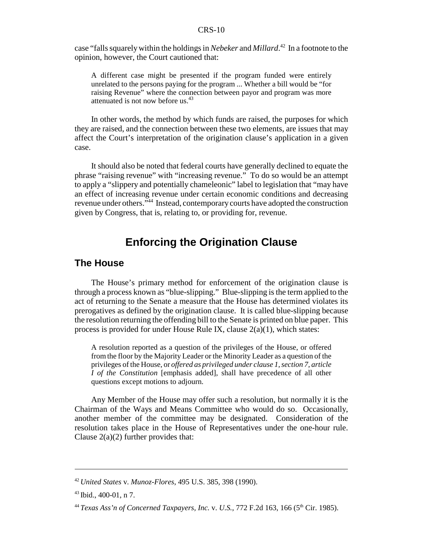case "falls squarely within the holdings in *Nebeker* and *Millard*. 42 In a footnote to the opinion, however, the Court cautioned that:

A different case might be presented if the program funded were entirely unrelated to the persons paying for the program ... Whether a bill would be "for raising Revenue" where the connection between payor and program was more attenuated is not now before us.<sup>43</sup>

In other words, the method by which funds are raised, the purposes for which they are raised, and the connection between these two elements, are issues that may affect the Court's interpretation of the origination clause's application in a given case.

It should also be noted that federal courts have generally declined to equate the phrase "raising revenue" with "increasing revenue." To do so would be an attempt to apply a "slippery and potentially chameleonic" label to legislation that "may have an effect of increasing revenue under certain economic conditions and decreasing revenue under others."44 Instead, contemporary courts have adopted the construction given by Congress, that is, relating to, or providing for, revenue.

# **Enforcing the Origination Clause**

#### **The House**

The House's primary method for enforcement of the origination clause is through a process known as "blue-slipping." Blue-slipping is the term applied to the act of returning to the Senate a measure that the House has determined violates its prerogatives as defined by the origination clause. It is called blue-slipping because the resolution returning the offending bill to the Senate is printed on blue paper. This process is provided for under House Rule IX, clause  $2(a)(1)$ , which states:

A resolution reported as a question of the privileges of the House, or offered from the floor by the Majority Leader or the Minority Leader as a question of the privileges of the House, or *offered as privileged under clause 1, section 7, article I of the Constitution* [emphasis added], shall have precedence of all other questions except motions to adjourn.

Any Member of the House may offer such a resolution, but normally it is the Chairman of the Ways and Means Committee who would do so. Occasionally, another member of the committee may be designated. Consideration of the resolution takes place in the House of Representatives under the one-hour rule. Clause  $2(a)(2)$  further provides that:

<sup>42</sup>*United States* v. *Munoz-Flores*, 495 U.S. 385, 398 (1990).

 $43$  Ibid., 400-01, n 7.

<sup>44</sup>*Texas Ass'n of Concerned Taxpayers, Inc.* v. *U.S.*, 772 F.2d 163, 166 (5th Cir. 1985).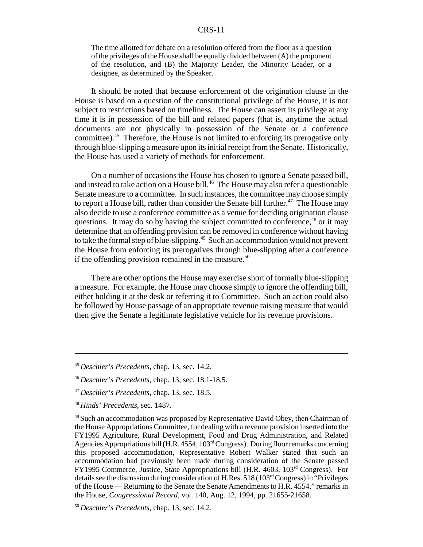The time allotted for debate on a resolution offered from the floor as a question of the privileges of the House shall be equally divided between (A) the proponent of the resolution, and (B) the Majority Leader, the Minority Leader, or a designee, as determined by the Speaker.

It should be noted that because enforcement of the origination clause in the House is based on a question of the constitutional privilege of the House, it is not subject to restrictions based on timeliness. The House can assert its privilege at any time it is in possession of the bill and related papers (that is, anytime the actual documents are not physically in possession of the Senate or a conference committee).45 Therefore, the House is not limited to enforcing its prerogative only through blue-slipping a measure upon its initial receipt from the Senate. Historically, the House has used a variety of methods for enforcement.

On a number of occasions the House has chosen to ignore a Senate passed bill, and instead to take action on a House bill.<sup>46</sup> The House may also refer a questionable Senate measure to a committee. In such instances, the committee may choose simply to report a House bill, rather than consider the Senate bill further.<sup>47</sup> The House may also decide to use a conference committee as a venue for deciding origination clause questions. It may do so by having the subject committed to conference,<sup>48</sup> or it may determine that an offending provision can be removed in conference without having to take the formal step of blue-slipping.<sup>49</sup> Such an accommodation would not prevent the House from enforcing its prerogatives through blue-slipping after a conference if the offending provision remained in the measure.<sup>50</sup>

There are other options the House may exercise short of formally blue-slipping a measure. For example, the House may choose simply to ignore the offending bill, either holding it at the desk or referring it to Committee. Such an action could also be followed by House passage of an appropriate revenue raising measure that would then give the Senate a legitimate legislative vehicle for its revenue provisions.

<sup>45</sup>*Deschler's Precedents*, chap. 13, sec. 14.2.

<sup>46</sup>*Deschler's Precedents*, chap. 13, sec. 18.1-18.5.

<sup>47</sup>*Deschler's Precedents*, chap. 13, sec. 18.5.

<sup>48</sup>*Hinds' Precedents*, sec. 1487.

<sup>&</sup>lt;sup>49</sup> Such an accommodation was proposed by Representative David Obey, then Chairman of the House Appropriations Committee, for dealing with a revenue provision inserted into the FY1995 Agriculture, Rural Development, Food and Drug Administration, and Related Agencies Appropriations bill (H.R. 4554, 103<sup>rd</sup> Congress). During floor remarks concerning this proposed accommodation, Representative Robert Walker stated that such an accommodation had previously been made during consideration of the Senate passed FY1995 Commerce, Justice, State Appropriations bill (H.R. 4603, 103rd Congress). For details see the discussion during consideration of H.Res. 518 (103rd Congress) in "Privileges of the House — Returning to the Senate the Senate Amendments to H.R. 4554," remarks in the House, *Congressional Record*, vol. 140, Aug. 12, 1994, pp. 21655-21658.

<sup>50</sup>*Deschler's Precedents*, chap. 13, sec. 14.2.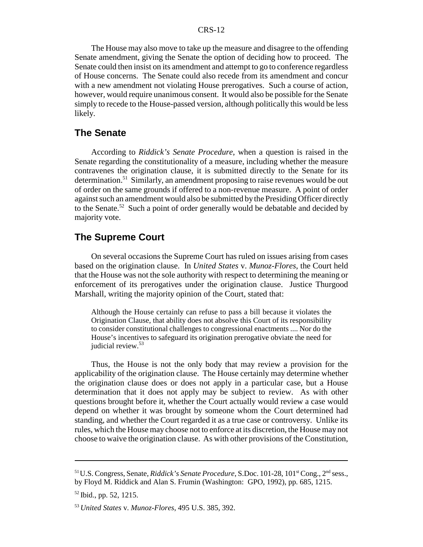The House may also move to take up the measure and disagree to the offending Senate amendment, giving the Senate the option of deciding how to proceed. The Senate could then insist on its amendment and attempt to go to conference regardless of House concerns. The Senate could also recede from its amendment and concur with a new amendment not violating House prerogatives. Such a course of action, however, would require unanimous consent. It would also be possible for the Senate simply to recede to the House-passed version, although politically this would be less likely.

#### **The Senate**

According to *Riddick's Senate Procedure*, when a question is raised in the Senate regarding the constitutionality of a measure, including whether the measure contravenes the origination clause, it is submitted directly to the Senate for its determination.<sup>51</sup> Similarly, an amendment proposing to raise revenues would be out of order on the same grounds if offered to a non-revenue measure. A point of order against such an amendment would also be submitted by the Presiding Officer directly to the Senate.<sup>52</sup> Such a point of order generally would be debatable and decided by majority vote.

#### **The Supreme Court**

On several occasions the Supreme Court has ruled on issues arising from cases based on the origination clause. In *United States* v. *Munoz-Flores*, the Court held that the House was not the sole authority with respect to determining the meaning or enforcement of its prerogatives under the origination clause. Justice Thurgood Marshall, writing the majority opinion of the Court, stated that:

Although the House certainly can refuse to pass a bill because it violates the Origination Clause, that ability does not absolve this Court of its responsibility to consider constitutional challenges to congressional enactments .... Nor do the House's incentives to safeguard its origination prerogative obviate the need for judicial review.<sup>53</sup>

Thus, the House is not the only body that may review a provision for the applicability of the origination clause. The House certainly may determine whether the origination clause does or does not apply in a particular case, but a House determination that it does not apply may be subject to review. As with other questions brought before it, whether the Court actually would review a case would depend on whether it was brought by someone whom the Court determined had standing, and whether the Court regarded it as a true case or controversy. Unlike its rules, which the House may choose not to enforce at its discretion, the House may not choose to waive the origination clause. As with other provisions of the Constitution,

<sup>&</sup>lt;sup>51</sup> U.S. Congress, Senate, *Riddick's Senate Procedure*, S.Doc. 101-28, 101<sup>st</sup> Cong., 2<sup>nd</sup> sess., by Floyd M. Riddick and Alan S. Frumin (Washington: GPO, 1992), pp. 685, 1215.

<sup>52</sup> Ibid., pp. 52, 1215.

<sup>53</sup>*United States* v. *Munoz-Flores*, 495 U.S. 385, 392.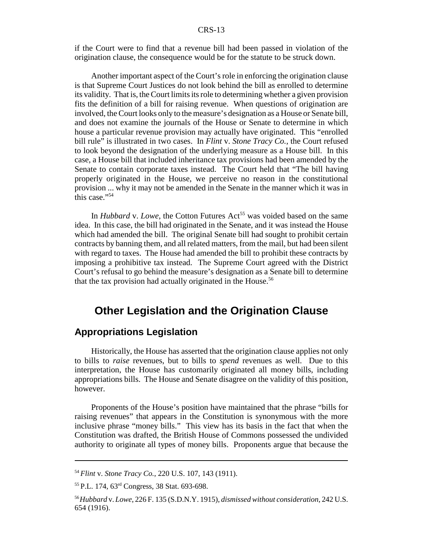if the Court were to find that a revenue bill had been passed in violation of the origination clause, the consequence would be for the statute to be struck down.

Another important aspect of the Court's role in enforcing the origination clause is that Supreme Court Justices do not look behind the bill as enrolled to determine its validity. That is, the Court limits its role to determining whether a given provision fits the definition of a bill for raising revenue. When questions of origination are involved, the Court looks only to the measure's designation as a House or Senate bill, and does not examine the journals of the House or Senate to determine in which house a particular revenue provision may actually have originated. This "enrolled bill rule" is illustrated in two cases. In *Flint* v. *Stone Tracy Co.*, the Court refused to look beyond the designation of the underlying measure as a House bill. In this case, a House bill that included inheritance tax provisions had been amended by the Senate to contain corporate taxes instead. The Court held that "The bill having properly originated in the House, we perceive no reason in the constitutional provision ... why it may not be amended in the Senate in the manner which it was in this case."<sup>54</sup>

In *Hubbard* v. *Lowe*, the Cotton Futures Act<sup>55</sup> was voided based on the same idea. In this case, the bill had originated in the Senate, and it was instead the House which had amended the bill. The original Senate bill had sought to prohibit certain contracts by banning them, and all related matters, from the mail, but had been silent with regard to taxes. The House had amended the bill to prohibit these contracts by imposing a prohibitive tax instead. The Supreme Court agreed with the District Court's refusal to go behind the measure's designation as a Senate bill to determine that the tax provision had actually originated in the House.<sup>56</sup>

# **Other Legislation and the Origination Clause**

## **Appropriations Legislation**

Historically, the House has asserted that the origination clause applies not only to bills to *raise* revenues, but to bills to *spend* revenues as well. Due to this interpretation, the House has customarily originated all money bills, including appropriations bills. The House and Senate disagree on the validity of this position, however.

Proponents of the House's position have maintained that the phrase "bills for raising revenues" that appears in the Constitution is synonymous with the more inclusive phrase "money bills." This view has its basis in the fact that when the Constitution was drafted, the British House of Commons possessed the undivided authority to originate all types of money bills. Proponents argue that because the

<sup>54</sup>*Flint* v. *Stone Tracy Co.*, 220 U.S. 107, 143 (1911).

<sup>55</sup> P.L. 174, 63rd Congress, 38 Stat. 693-698.

<sup>56</sup>*Hubbard* v. *Lowe*, 226 F. 135 (S.D.N.Y. 1915), *dismissed without consideration*, 242 U.S. 654 (1916).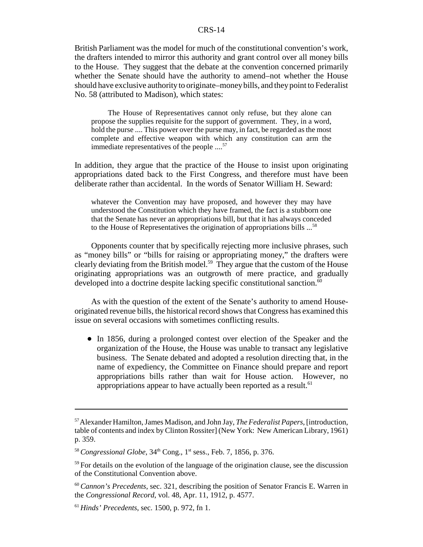British Parliament was the model for much of the constitutional convention's work, the drafters intended to mirror this authority and grant control over all money bills to the House. They suggest that the debate at the convention concerned primarily whether the Senate should have the authority to amend–not whether the House should have exclusive authority to originate–money bills, and they point to Federalist No. 58 (attributed to Madison), which states:

The House of Representatives cannot only refuse, but they alone can propose the supplies requisite for the support of government. They, in a word, hold the purse .... This power over the purse may, in fact, be regarded as the most complete and effective weapon with which any constitution can arm the immediate representatives of the people ....<sup>57</sup>

In addition, they argue that the practice of the House to insist upon originating appropriations dated back to the First Congress, and therefore must have been deliberate rather than accidental. In the words of Senator William H. Seward:

whatever the Convention may have proposed, and however they may have understood the Constitution which they have framed, the fact is a stubborn one that the Senate has never an appropriations bill, but that it has always conceded to the House of Representatives the origination of appropriations bills ...58

Opponents counter that by specifically rejecting more inclusive phrases, such as "money bills" or "bills for raising or appropriating money," the drafters were clearly deviating from the British model.<sup>59</sup> They argue that the custom of the House originating appropriations was an outgrowth of mere practice, and gradually developed into a doctrine despite lacking specific constitutional sanction.<sup>60</sup>

As with the question of the extent of the Senate's authority to amend Houseoriginated revenue bills, the historical record shows that Congress has examined this issue on several occasions with sometimes conflicting results.

• In 1856, during a prolonged contest over election of the Speaker and the organization of the House, the House was unable to transact any legislative business. The Senate debated and adopted a resolution directing that, in the name of expediency, the Committee on Finance should prepare and report appropriations bills rather than wait for House action. However, no appropriations appear to have actually been reported as a result.<sup>61</sup>

<sup>57</sup> Alexander Hamilton, James Madison, and John Jay, *The Federalist Papers*, [introduction, table of contents and index by Clinton Rossiter] (New York: New American Library, 1961) p. 359.

<sup>&</sup>lt;sup>58</sup> Congressional Globe, 34<sup>th</sup> Cong., 1<sup>st</sup> sess., Feb. 7, 1856, p. 376.

 $59$  For details on the evolution of the language of the origination clause, see the discussion of the Constitutional Convention above.

<sup>60</sup>*Cannon's Precedents*, sec. 321, describing the position of Senator Francis E. Warren in the *Congressional Record*, vol. 48, Apr. 11, 1912, p. 4577.

<sup>61</sup>*Hinds' Precedents*, sec. 1500, p. 972, fn 1.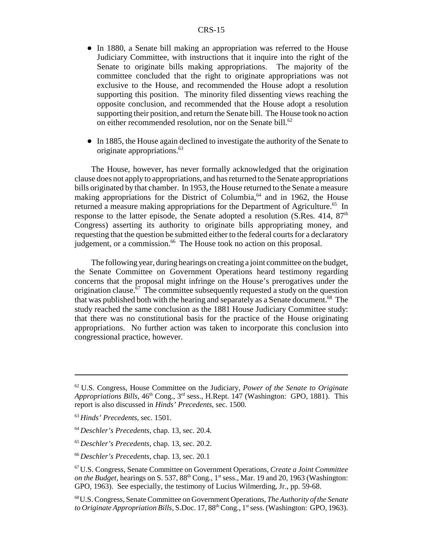- In 1880, a Senate bill making an appropriation was referred to the House Judiciary Committee, with instructions that it inquire into the right of the Senate to originate bills making appropriations. The majority of the committee concluded that the right to originate appropriations was not exclusive to the House, and recommended the House adopt a resolution supporting this position. The minority filed dissenting views reaching the opposite conclusion, and recommended that the House adopt a resolution supporting their position, and return the Senate bill. The House took no action on either recommended resolution, nor on the Senate bill.<sup>62</sup>
- In 1885, the House again declined to investigate the authority of the Senate to originate appropriations.63

The House, however, has never formally acknowledged that the origination clause does not apply to appropriations, and has returned to the Senate appropriations bills originated by that chamber. In 1953, the House returned to the Senate a measure making appropriations for the District of Columbia, $64$  and in 1962, the House returned a measure making appropriations for the Department of Agriculture.<sup>65</sup> In response to the latter episode, the Senate adopted a resolution (S.Res.  $414$ ,  $87<sup>th</sup>$ ) Congress) asserting its authority to originate bills appropriating money, and requesting that the question be submitted either to the federal courts for a declaratory judgement, or a commission.<sup>66</sup> The House took no action on this proposal.

The following year, during hearings on creating a joint committee on the budget, the Senate Committee on Government Operations heard testimony regarding concerns that the proposal might infringe on the House's prerogatives under the origination clause.<sup>67</sup> The committee subsequently requested a study on the question that was published both with the hearing and separately as a Senate document.<sup>68</sup> The study reached the same conclusion as the 1881 House Judiciary Committee study: that there was no constitutional basis for the practice of the House originating appropriations. No further action was taken to incorporate this conclusion into congressional practice, however.

<sup>66</sup>*Deschler's Precedents*, chap. 13, sec. 20.1

<sup>62</sup> U.S. Congress, House Committee on the Judiciary, *Power of the Senate to Originate Appropriations Bills*, 46<sup>th</sup> Cong., 3<sup>rd</sup> sess., H.Rept. 147 (Washington: GPO, 1881). This report is also discussed in *Hinds' Precedents*, sec. 1500.

<sup>63</sup>*Hinds' Precedents*, sec. 1501.

<sup>64</sup>*Deschler's Precedents*, chap. 13, sec. 20.4.

<sup>65</sup>*Deschler's Precedents*, chap. 13, sec. 20.2.

<sup>67</sup> U.S. Congress, Senate Committee on Government Operations, *Create a Joint Committee on the Budget*, hearings on S. 537, 88<sup>th</sup> Cong., 1<sup>st</sup> sess., Mar. 19 and 20, 1963 (Washington: GPO, 1963). See especially, the testimony of Lucius Wilmerding, Jr., pp. 59-68.

<sup>68</sup> U.S. Congress, Senate Committee on Government Operations, *The Authority of the Senate to Originate Appropriation Bills*, S.Doc. 17, 88<sup>th</sup> Cong., 1<sup>st</sup> sess. (Washington: GPO, 1963).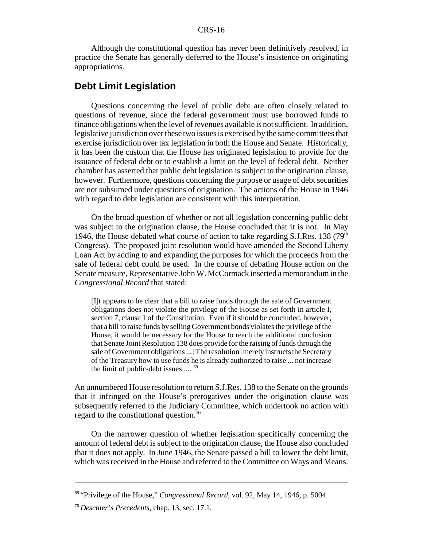Although the constitutional question has never been definitively resolved, in practice the Senate has generally deferred to the House's insistence on originating appropriations.

## **Debt Limit Legislation**

Questions concerning the level of public debt are often closely related to questions of revenue, since the federal government must use borrowed funds to finance obligations when the level of revenues available is not sufficient. In addition, legislative jurisdiction over these two issues is exercised by the same committees that exercise jurisdiction over tax legislation in both the House and Senate. Historically, it has been the custom that the House has originated legislation to provide for the issuance of federal debt or to establish a limit on the level of federal debt. Neither chamber has asserted that public debt legislation is subject to the origination clause, however. Furthermore, questions concerning the purpose or usage of debt securities are not subsumed under questions of origination. The actions of the House in 1946 with regard to debt legislation are consistent with this interpretation.

On the broad question of whether or not all legislation concerning public debt was subject to the origination clause, the House concluded that it is not. In May 1946, the House debated what course of action to take regarding S.J.Res. 138 ( $79<sup>th</sup>$ Congress). The proposed joint resolution would have amended the Second Liberty Loan Act by adding to and expanding the purposes for which the proceeds from the sale of federal debt could be used. In the course of debating House action on the Senate measure, Representative John W. McCormack inserted a memorandum in the *Congressional Record* that stated:

[I]t appears to be clear that a bill to raise funds through the sale of Government obligations does not violate the privilege of the House as set forth in article I, section 7, clause 1 of the Constitution. Even if it should be concluded, however, that a bill to raise funds by selling Government bonds violates the privilege of the House, it would be necessary for the House to reach the additional conclusion that Senate Joint Resolution 138 does provide for the raising of funds through the sale of Government obligations ... [The resolution] merely instructs the Secretary of the Treasury how to use funds he is already authorized to raise ... not increase the limit of public-debt issues .... 69

An unnumbered House resolution to return S.J.Res. 138 to the Senate on the grounds that it infringed on the House's prerogatives under the origination clause was subsequently referred to the Judiciary Committee, which undertook no action with regard to the constitutional question.<sup>70</sup>

On the narrower question of whether legislation specifically concerning the amount of federal debt is subject to the origination clause, the House also concluded that it does not apply. In June 1946, the Senate passed a bill to lower the debt limit, which was received in the House and referred to the Committee on Ways and Means.

<sup>69 &</sup>quot;Privilege of the House," *Congressional Record*, vol. 92, May 14, 1946, p. 5004.

<sup>70</sup>*Deschler's Precedents*, chap. 13, sec. 17.1.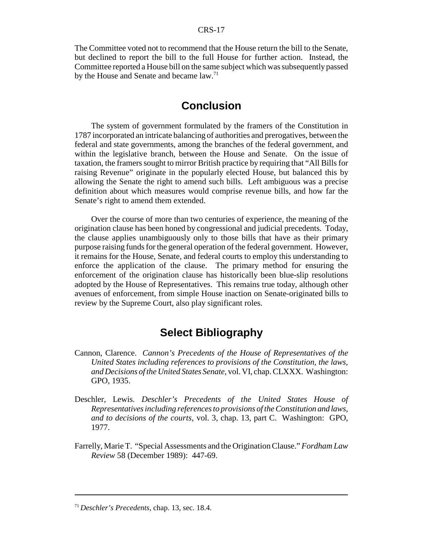The Committee voted not to recommend that the House return the bill to the Senate, but declined to report the bill to the full House for further action. Instead, the Committee reported a House bill on the same subject which was subsequently passed by the House and Senate and became law.<sup>71</sup>

# **Conclusion**

The system of government formulated by the framers of the Constitution in 1787 incorporated an intricate balancing of authorities and prerogatives, between the federal and state governments, among the branches of the federal government, and within the legislative branch, between the House and Senate. On the issue of taxation, the framers sought to mirror British practice by requiring that "All Bills for raising Revenue" originate in the popularly elected House, but balanced this by allowing the Senate the right to amend such bills. Left ambiguous was a precise definition about which measures would comprise revenue bills, and how far the Senate's right to amend them extended.

Over the course of more than two centuries of experience, the meaning of the origination clause has been honed by congressional and judicial precedents. Today, the clause applies unambiguously only to those bills that have as their primary purpose raising funds for the general operation of the federal government. However, it remains for the House, Senate, and federal courts to employ this understanding to enforce the application of the clause. The primary method for ensuring the enforcement of the origination clause has historically been blue-slip resolutions adopted by the House of Representatives. This remains true today, although other avenues of enforcement, from simple House inaction on Senate-originated bills to review by the Supreme Court, also play significant roles.

# **Select Bibliography**

- Cannon, Clarence. *Cannon's Precedents of the House of Representatives of the United States including references to provisions of the Constitution, the laws, and Decisions of the United States Senate*, vol. VI, chap. CLXXX. Washington: GPO, 1935.
- Deschler, Lewis. *Deschler's Precedents of the United States House of Representatives including references to provisions of the Constitution and laws, and to decisions of the courts*, vol. 3, chap. 13, part C. Washington: GPO, 1977.
- Farrelly, Marie T. "Special Assessments and the Origination Clause." *Fordham Law Review* 58 (December 1989): 447-69.

<sup>71</sup>*Deschler's Precedents*, chap. 13, sec. 18.4.